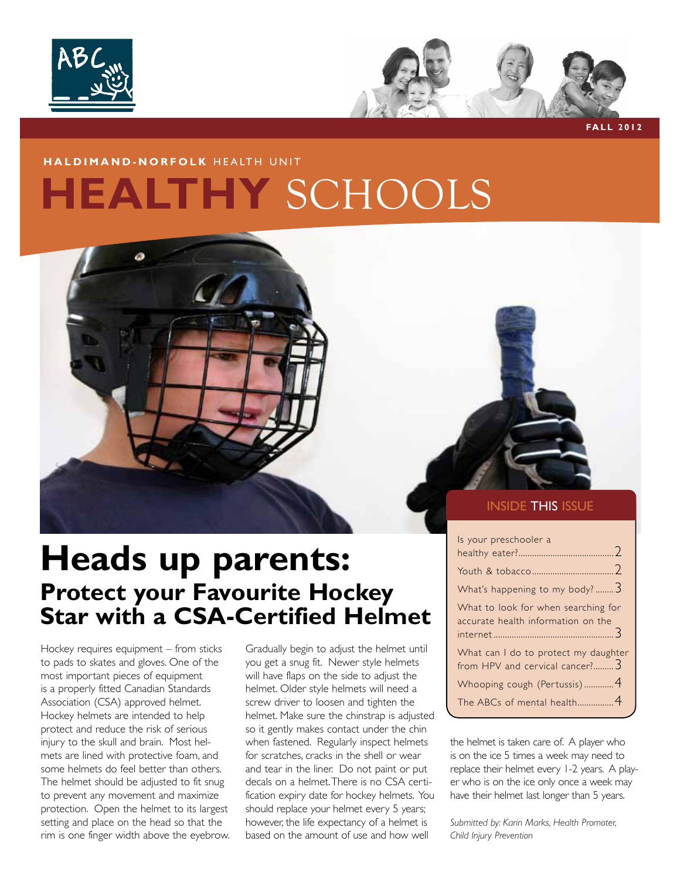



**fall 2012**

#### **haldimand-norfolk** HEALTH UNIT

## **HEALTHY** SCHOOLS



### **Heads up parents: Protect your Favourite Hockey Star with a CSA-Certified Helmet**

Hockey requires equipment – from sticks to pads to skates and gloves. One of the most important pieces of equipment is a properly fitted Canadian Standards Association (CSA) approved helmet. Hockey helmets are intended to help protect and reduce the risk of serious injury to the skull and brain. Most helmets are lined with protective foam, and some helmets do feel better than others. The helmet should be adjusted to fit snug to prevent any movement and maximize protection. Open the helmet to its largest setting and place on the head so that the rim is one finger width above the eyebrow. Gradually begin to adjust the helmet until you get a snug fit. Newer style helmets will have flaps on the side to adjust the helmet. Older style helmets will need a screw driver to loosen and tighten the helmet. Make sure the chinstrap is adjusted so it gently makes contact under the chin when fastened. Regularly inspect helmets for scratches, cracks in the shell or wear and tear in the liner. Do not paint or put decals on a helmet. There is no CSA certification expiry date for hockey helmets. You should replace your helmet every 5 years; however, the life expectancy of a helmet is based on the amount of use and how well

#### **INSIDE THIS ISSUE**

| Is your preschooler a                                                     |  |
|---------------------------------------------------------------------------|--|
|                                                                           |  |
| What's happening to my body? 3                                            |  |
| What to look for when searching for<br>accurate health information on the |  |
| What can I do to protect my daughter<br>from HPV and cervical cancer?     |  |
| Whooping cough (Pertussis)4                                               |  |
| The ABCs of mental health4                                                |  |

the helmet is taken care of. A player who is on the ice 5 times a week may need to replace their helmet every 1-2 years. A player who is on the ice only once a week may have their helmet last longer than 5 years.

*Submitted by: Karin Marks, Health Promoter, Child Injury Prevention*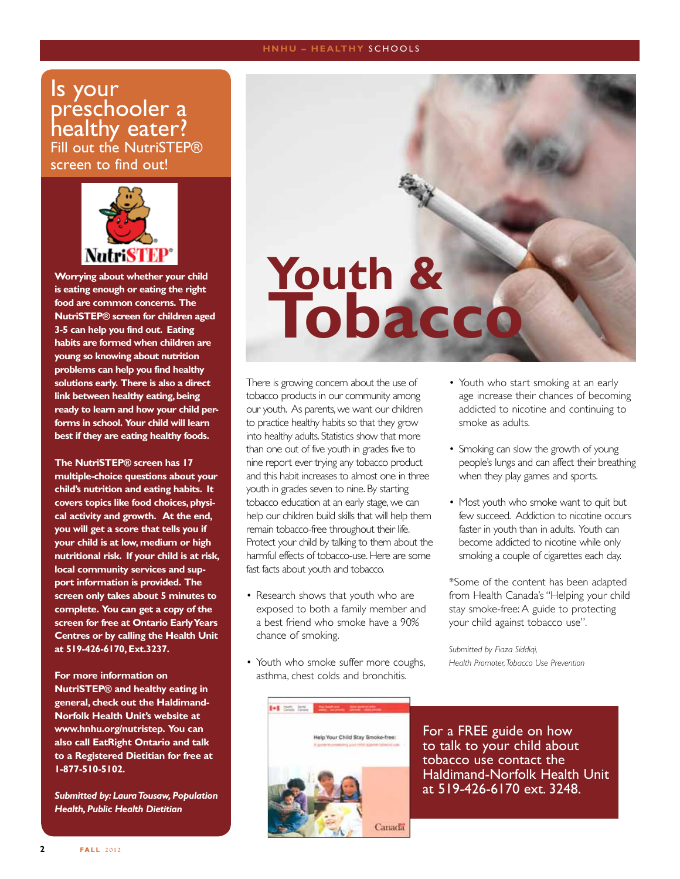#### **HNHU - HEALTHY SCHOOLS**

#### Is your preschooler a healthy eater? Fill out the NutriSTEP® screen to find out!



**Worrying about whether your child is eating enough or eating the right food are common concerns. The NutriSTEP® screen for children aged 3-5 can help you find out. Eating habits are formed when children are young so knowing about nutrition problems can help you find healthy solutions early. There is also a direct link between healthy eating, being ready to learn and how your child performs in school. Your child will learn best if they are eating healthy foods.**

**The NutriSTEP® screen has 17 multiple-choice questions about your child's nutrition and eating habits. It covers topics like food choices, physical activity and growth. At the end, you will get a score that tells you if your child is at low, medium or high nutritional risk. If your child is at risk, local community services and support information is provided. The screen only takes about 5 minutes to complete. You can get a copy of the screen for free at Ontario Early Years Centres or by calling the Health Unit at 519-426-6170, Ext.3237.**

**For more information on NutriSTEP® and healthy eating in general, check out the Haldimand-Norfolk Health Unit's website at www.hnhu.org/nutristep. You can also call EatRight Ontario and talk to a Registered Dietitian for free at 1-877-510-5102.** 

*Submitted by: Laura Tousaw, Population Health, Public Health Dietitian*

# **Youth & Tobacco**

There is growing concern about the use of tobacco products in our community among our youth. As parents, we want our children to practice healthy habits so that they grow into healthy adults. Statistics show that more than one out of five youth in grades five to nine report ever trying any tobacco product and this habit increases to almost one in three youth in grades seven to nine. By starting tobacco education at an early stage, we can help our children build skills that will help them remain tobacco-free throughout their life. Protect your child by talking to them about the harmful effects of tobacco-use. Here are some fast facts about youth and tobacco.

- Research shows that youth who are exposed to both a family member and a best friend who smoke have a 90% chance of smoking.
- Youth who smoke suffer more coughs, asthma, chest colds and bronchitis.
- Youth who start smoking at an early age increase their chances of becoming addicted to nicotine and continuing to smoke as adults.
- Smoking can slow the growth of young people's lungs and can affect their breathing when they play games and sports.
- Most youth who smoke want to quit but few succeed. Addiction to nicotine occurs faster in youth than in adults. Youth can become addicted to nicotine while only smoking a couple of cigarettes each day.

\*Some of the content has been adapted from Health Canada's "Helping your child stay smoke-free: A guide to protecting your child against tobacco use".

*Submitted by Fiaza Siddiqi, Health Promoter, Tobacco Use Prevention*



For a FREE guide on how to talk to your child about tobacco use contact the Haldimand-Norfolk Health Unit at 519-426-6170 ext. 3248.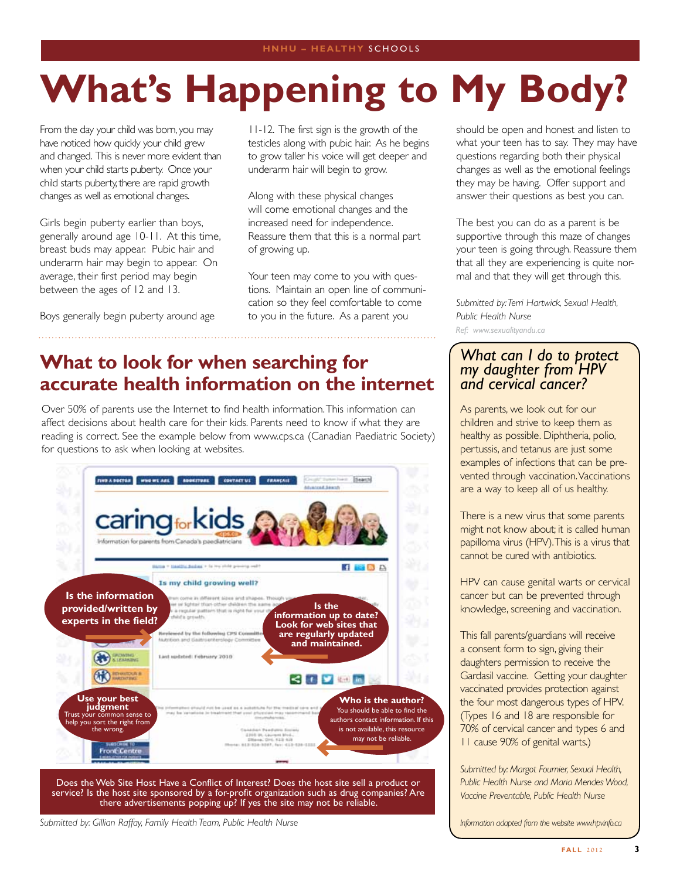# **What's Happening to My Body?**

From the day your child was born, you may have noticed how quickly your child grew and changed. This is never more evident than when your child starts puberty. Once your child starts puberty, there are rapid growth changes as well as emotional changes.

Girls begin puberty earlier than boys, generally around age 10-11. At this time, breast buds may appear. Pubic hair and underarm hair may begin to appear. On average, their first period may begin between the ages of 12 and 13.

Boys generally begin puberty around age

11-12. The first sign is the growth of the testicles along with pubic hair. As he begins to grow taller his voice will get deeper and underarm hair will begin to grow.

Along with these physical changes will come emotional changes and the increased need for independence. Reassure them that this is a normal part of growing up.

Your teen may come to you with questions. Maintain an open line of communication so they feel comfortable to come to you in the future. As a parent you

### **What to look for when searching for accurate health information on the internet**

Over 50% of parents use the Internet to find health information. This information can affect decisions about health care for their kids. Parents need to know if what they are reading is correct. See the example below from www.cps.ca (Canadian Paediatric Society) for questions to ask when looking at websites.



Does the Web Site Host Have a Conflict of Interest? Does the host site sell a product or service? Is the host site sponsored by a for-profit organization such as drug companies? Are there advertisements popping up? If yes the site may not be reliable.

*Submitted by: Gillian Raffay, Family Health Team, Public Health Nurse*

should be open and honest and listen to what your teen has to say. They may have questions regarding both their physical changes as well as the emotional feelings they may be having. Offer support and answer their questions as best you can.

The best you can do as a parent is be supportive through this maze of changes your teen is going through. Reassure them that all they are experiencing is quite normal and that they will get through this.

*Submitted by: Terri Hartwick, Sexual Health, Public Health Nurse Ref: www.sexualityandu.ca*

#### *What can I do to protect my daughter from HPV and cervical cancer?*

As parents, we look out for our children and strive to keep them as healthy as possible. Diphtheria, polio, pertussis, and tetanus are just some examples of infections that can be prevented through vaccination. Vaccinations are a way to keep all of us healthy.

There is a new virus that some parents might not know about; it is called human papilloma virus (HPV). This is a virus that cannot be cured with antibiotics.

HPV can cause genital warts or cervical cancer but can be prevented through knowledge, screening and vaccination.

This fall parents/guardians will receive a consent form to sign, giving their daughters permission to receive the Gardasil vaccine. Getting your daughter vaccinated provides protection against the four most dangerous types of HPV. (Types 16 and 18 are responsible for 70% of cervical cancer and types 6 and 11 cause 90% of genital warts.)

*Submitted by: Margot Fournier, Sexual Health, Public Health Nurse and Maria Mendes Wood, Vaccine Preventable, Public Health Nurse* 

*Information adapted from the website www.hpvinfo.ca*